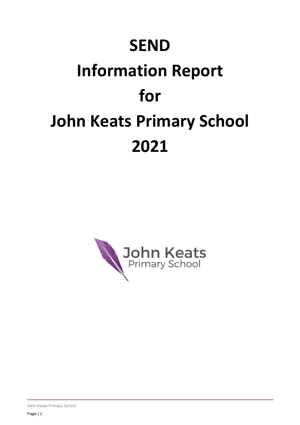# **SEND**

# **Information Report for John Keats Primary School 2021**

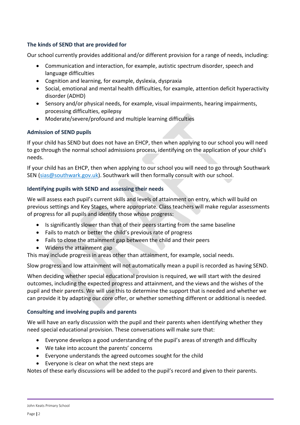# **The kinds of SEND that are provided for**

Our school currently provides additional and/or different provision for a range of needs, including:

- Communication and interaction, for example, autistic spectrum disorder, speech and language difficulties
- Cognition and learning, for example, dyslexia, dyspraxia
- Social, emotional and mental health difficulties, for example, attention deficit hyperactivity disorder (ADHD)
- Sensory and/or physical needs, for example, visual impairments, hearing impairments, processing difficulties, epilepsy
- Moderate/severe/profound and multiple learning difficulties

# **Admission of SEND pupils**

If [your child has SEND but does not have an EHCP,](https://www.goodschoolsguide.co.uk/special-educational-needs/your-rights/sen-but-no-ehcp) then when applying to our school you will need to go through the normal school admissions process, identifying on the application of your child's needs.

If your child has an EHCP, then when applying to our school you will need to go through Southwark SEN [\(sias@southwark.gov.uk\)](mailto:sias@southwark.gov.uk). Southwark will then formally consult with our school.

# **Identifying pupils with SEND and assessing their needs**

We will assess each pupil's current skills and levels of attainment on entry, which will build on previous settings and Key Stages, where appropriate. Class teachers will make regular assessments of progress for all pupils and identify those whose progress:

- Is significantly slower than that of their peers starting from the same baseline
- Fails to match or better the child's previous rate of progress
- Fails to close the attainment gap between the child and their peers
- Widens the attainment gap

This may include progress in areas other than attainment, for example, social needs.

Slow progress and low attainment will not automatically mean a pupil is recorded as having SEND.

When deciding whether special educational provision is required, we will start with the desired outcomes, including the expected progress and attainment, and the views and the wishes of the pupil and their parents. We will use this to determine the support that is needed and whether we can provide it by adapting our core offer, or whether something different or additional is needed.

# **Consulting and involving pupils and parents**

We will have an early discussion with the pupil and their parents when identifying whether they need special educational provision. These conversations will make sure that:

- Everyone develops a good understanding of the pupil's areas of strength and difficulty
- We take into account the parents' concerns
- Everyone understands the agreed outcomes sought for the child
- Everyone is clear on what the next steps are

Notes of these early discussions will be added to the pupil's record and given to their parents.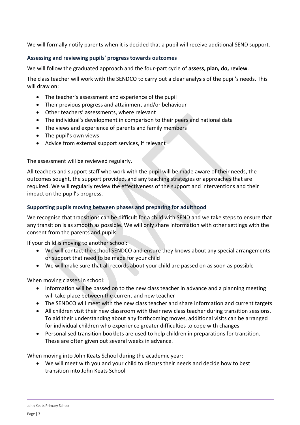We will formally notify parents when it is decided that a pupil will receive additional SEND support.

# **Assessing and reviewing pupils' progress towards outcomes**

We will follow the graduated approach and the four-part cycle of **assess, plan, do, review**.

The class teacher will work with the SENDCO to carry out a clear analysis of the pupil's needs. This will draw on:

- The teacher's assessment and experience of the pupil
- Their previous progress and attainment and/or behaviour
- Other teachers' assessments, where relevant
- The individual's development in comparison to their peers and national data
- The views and experience of parents and family members
- The pupil's own views
- Advice from external support services, if relevant

The assessment will be reviewed regularly.

All teachers and support staff who work with the pupil will be made aware of their needs, the outcomes sought, the support provided, and any teaching strategies or approaches that are required. We will regularly review the effectiveness of the support and interventions and their impact on the pupil's progress.

#### **Supporting pupils moving between phases and preparing for adulthood**

We recognise that transitions can be difficult for a child with SEND and we take steps to ensure that any transition is as smooth as possible. We will only share information with other settings with the consent from the parents and pupils

If your child is moving to another school:

- We will contact the school SENDCO and ensure they knows about any special arrangements or support that need to be made for your child
- We will make sure that all records about your child are passed on as soon as possible

When moving classes in school:

- Information will be passed on to the new class teacher in advance and a planning meeting will take place between the current and new teacher
- The SENDCO will meet with the new class teacher and share information and current targets
- All children visit their new classroom with their new class teacher during transition sessions. To aid their understanding about any forthcoming moves, additional visits can be arranged for individual children who experience greater difficulties to cope with changes
- Personalised transition booklets are used to help children in preparations for transition. These are often given out several weeks in advance.

When moving into John Keats School during the academic year:

 We will meet with you and your child to discuss their needs and decide how to best transition into John Keats School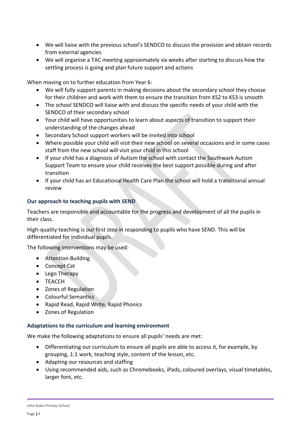- We will liaise with the previous school's SENDCO to discuss the provision and obtain records from external agencies
- We will organise a TAC meeting approximately six weeks after starting to discuss how the settling process is going and plan future support and actions

When moving on to further education from Year 6:

- We will fully support parents in making decisions about the secondary school they choose for their children and work with them to ensure the transition from KS2 to KS3 is smooth
- The school SENDCO will liaise with and discuss the specific needs of your child with the SENDCO of their secondary school
- Your child will have opportunities to learn about aspects of transition to support their understanding of the changes ahead
- Secondary School support workers will be invited into school
- Where possible your child will visit their new school on several occasions and in some cases staff from the new school will visit your child in this school
- If your child has a diagnosis of Autism the school with contact the Southwark Autism Support Team to ensure your child receives the best support possible during and after transition
- If your child has an Educational Health Care Plan the school will hold a transitional annual review

#### **Our approach to teaching pupils with SEND**

Teachers are responsible and accountable for the progress and development of all the pupils in their class.

High-quality teaching is our first step in responding to pupils who have SEND. This will be differentiated for individual pupils.

The following interventions may be used:

- Attention Building
- Concept Cat
- Lego Therapy
- TEACCH
- Zones of Regulation
- Colourful Semantics
- Rapid Read, Rapid Write, Rapid Phonics
- Zones of Regulation

#### **Adaptations to the curriculum and learning environment**

We make the following adaptations to ensure all pupils' needs are met:

- Differentiating our curriculum to ensure all pupils are able to access it, for example, by grouping, 1:1 work, teaching style, content of the lesson, etc.
- Adapting our resources and staffing
- Using recommended aids, such as Chromebooks, iPads, coloured overlays, visual timetables, larger font, etc.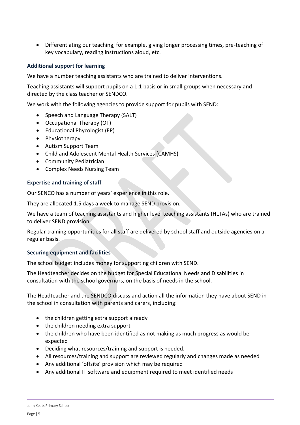Differentiating our teaching, for example, giving longer processing times, pre-teaching of key vocabulary, reading instructions aloud, etc.

### **Additional support for learning**

We have a number teaching assistants who are trained to deliver interventions.

Teaching assistants will support pupils on a 1:1 basis or in small groups when necessary and directed by the class teacher or SENDCO.

We work with the following agencies to provide support for pupils with SEND:

- Speech and Language Therapy (SALT)
- Occupational Therapy (OT)
- Educational Phycologist (EP)
- Physiotherapy
- Autism Support Team
- Child and Adolescent Mental Health Services (CAMHS)
- Community Pediatrician
- Complex Needs Nursing Team

#### **Expertise and training of staff**

Our SENCO has a number of years' experience in this role.

They are allocated 1.5 days a week to manage SEND provision.

We have a team of teaching assistants and higher level teaching assistants (HLTAs) who are trained to deliver SEND provision.

Regular training opportunities for all staff are delivered by school staff and outside agencies on a regular basis.

#### **Securing equipment and facilities**

The school budget includes money for supporting children with SEND.

The Headteacher decides on the budget for Special Educational Needs and Disabilities in consultation with the school governors, on the basis of needs in the school.

The Headteacher and the SENDCO discuss and action all the information they have about SEND in the school in consultation with parents and carers, including:

- the children getting extra support already
- the children needing extra support
- the children who have been identified as not making as much progress as would be expected
- Deciding what resources/training and support is needed.
- All resources/training and support are reviewed regularly and changes made as needed
- Any additional 'offsite' provision which may be required
- Any additional IT software and equipment required to meet identified needs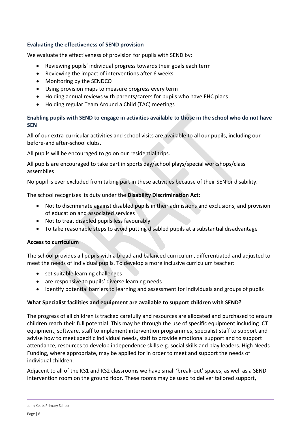# **Evaluating the effectiveness of SEND provision**

We evaluate the effectiveness of provision for pupils with SEND by:

- Reviewing pupils' individual progress towards their goals each term
- Reviewing the impact of interventions after 6 weeks
- Monitoring by the SENDCO
- Using provision maps to measure progress every term
- Holding annual reviews with parents/carers for pupils who have EHC plans
- Holding regular Team Around a Child (TAC) meetings

# **Enabling pupils with SEND to engage in activities available to those in the school who do not have SEN**

All of our extra-curricular activities and school visits are available to all our pupils, including our before-and after-school clubs.

All pupils will be encouraged to go on our residential trips.

All pupils are encouraged to take part in sports day/school plays/special workshops/class assemblies

No pupil is ever excluded from taking part in these activities because of their SEN or disability.

The school recognises its duty under the **Disability Discrimination Act**:

- Not to discriminate against disabled pupils in their admissions and exclusions, and provision of education and associated services
- Not to treat disabled pupils less favourably
- To take reasonable steps to avoid putting disabled pupils at a substantial disadvantage

#### **Access to curriculum**

The school provides all pupils with a broad and balanced curriculum, differentiated and adjusted to meet the needs of individual pupils. To develop a more inclusive curriculum teacher:

- set suitable learning challenges
- are responsive to pupils' diverse learning needs
- identify potential barriers to learning and assessment for individuals and groups of pupils

#### **What Specialist facilities and equipment are available to support children with SEND?**

The progress of all children is tracked carefully and resources are allocated and purchased to ensure children reach their full potential. This may be through the use of specific equipment including ICT equipment, software, staff to implement intervention programmes, specialist staff to support and advise how to meet specific individual needs, staff to provide emotional support and to support attendance, resources to develop independence skills e.g. social skills and play leaders. High Needs Funding, where appropriate, may be applied for in order to meet and support the needs of individual children.

Adjacent to all of the KS1 and KS2 classrooms we have small 'break-out' spaces, as well as a SEND intervention room on the ground floor. These rooms may be used to deliver tailored support,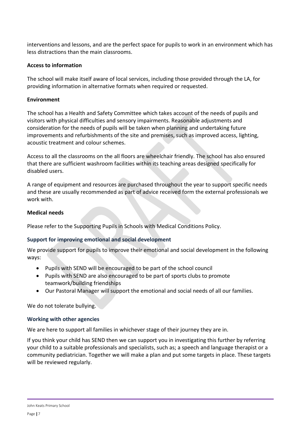interventions and lessons, and are the perfect space for pupils to work in an environment which has less distractions than the main classrooms.

### **Access to information**

The school will make itself aware of local services, including those provided through the LA, for providing information in alternative formats when required or requested.

#### **Environment**

The school has a Health and Safety Committee which takes account of the needs of pupils and visitors with physical difficulties and sensory impairments. Reasonable adjustments and consideration for the needs of pupils will be taken when planning and undertaking future improvements and refurbishments of the site and premises, such as improved access, lighting, acoustic treatment and colour schemes.

Access to all the classrooms on the all floors are wheelchair friendly. The school has also ensured that there are sufficient washroom facilities within its teaching areas designed specifically for disabled users.

A range of equipment and resources are purchased throughout the year to support specific needs and these are usually recommended as part of advice received form the external professionals we work with.

#### **Medical needs**

Please refer to the Supporting Pupils in Schools with Medical Conditions Policy.

# **Support for improving emotional and social development**

We provide support for pupils to improve their emotional and social development in the following ways:

- Pupils with SEND will be encouraged to be part of the school council
- Pupils with SEND are also encouraged to be part of sports clubs to promote teamwork/building friendships
- Our Pastoral Manager will support the emotional and social needs of all our families.

We do not tolerate bullying.

#### **Working with other agencies**

We are here to support all families in whichever stage of their journey they are in.

If you think your child has SEND then we can support you in investigating this further by referring your child to a suitable professionals and specialists, such as; a speech and language therapist or a community pediatrician. Together we will make a plan and put some targets in place. These targets will be reviewed regularly.

John Keats Primary School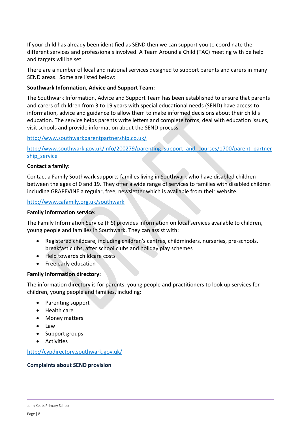If your child has already been identified as SEND then we can support you to coordinate the different services and professionals involved. A Team Around a Child (TAC) meeting with be held and targets will be set.

There are a number of local and national services designed to support parents and carers in many SEND areas. Some are listed below:

# **Southwark Information, Advice and Support Team:**

The Southwark Information, Advice and Support Team has been established to ensure that parents and carers of children from 3 to 19 years with special educational needs (SEND) have access to information, advice and guidance to allow them to make informed decisions about their child's education. The service helps parents write letters and complete forms, deal with education issues, visit schools and provide information about the SEND process.

<http://www.southwarkparentpartnership.co.uk/>

[http://www.southwark.gov.uk/info/200279/parenting\\_support\\_and\\_courses/1700/parent\\_partner](http://www.southwark.gov.uk/info/200279/parenting_support_and_courses/1700/parent_partnership_service) ship service

#### **Contact a family:**

Contact a Family Southwark supports families living in Southwark who have disabled children between the ages of 0 and 19. They offer a wide range of services to families with disabled children including GRAPEVINE a regular, free, newsletter which is available from their website.

#### <http://www.cafamily.org.uk/southwark>

#### **Family information service:**

The Family Information Service (FIS) provides information on local services available to children, young people and families in Southwark. They can assist with:

- Registered childcare, including children's centres, childminders, nurseries, pre-schools, breakfast clubs, after school clubs and holiday play schemes
- Help towards childcare costs
- Free early education

#### **Family information directory:**

The information directory is for parents, young people and practitioners to look up services for children, young people and families, including:

- Parenting support
- Health care
- Money matters
- Law
- Support groups
- Activities

<http://cypdirectory.southwark.gov.uk/>

#### **Complaints about SEND provision**

John Keats Primary School